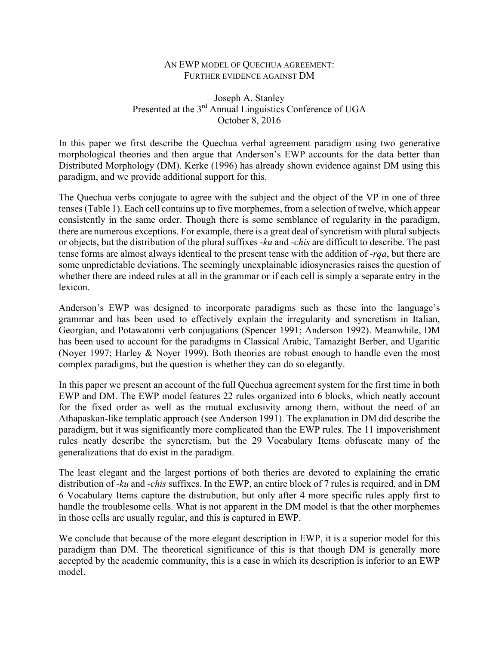## AN EWP MODEL OF QUECHUA AGREEMENT: FURTHER EVIDENCE AGAINST DM

## Joseph A. Stanley Presented at the 3<sup>rd</sup> Annual Linguistics Conference of UGA October 8, 2016

In this paper we first describe the Quechua verbal agreement paradigm using two generative morphological theories and then argue that Anderson's EWP accounts for the data better than Distributed Morphology (DM). Kerke (1996) has already shown evidence against DM using this paradigm, and we provide additional support for this.

The Quechua verbs conjugate to agree with the subject and the object of the VP in one of three tenses(Table 1). Each cell contains up to five morphemes, from a selection of twelve, which appear consistently in the same order. Though there is some semblance of regularity in the paradigm, there are numerous exceptions. For example, there is a great deal of syncretism with plural subjects or objects, but the distribution of the plural suffixes -*ku* and *-chis* are difficult to describe. The past tense forms are almost always identical to the present tense with the addition of *-rqa*, but there are some unpredictable deviations. The seemingly unexplainable idiosyncrasies raises the question of whether there are indeed rules at all in the grammar or if each cell is simply a separate entry in the lexicon.

Anderson's EWP was designed to incorporate paradigms such as these into the language's grammar and has been used to effectively explain the irregularity and syncretism in Italian, Georgian, and Potawatomi verb conjugations (Spencer 1991; Anderson 1992). Meanwhile, DM has been used to account for the paradigms in Classical Arabic, Tamazight Berber, and Ugaritic (Noyer 1997; Harley & Noyer 1999). Both theories are robust enough to handle even the most complex paradigms, but the question is whether they can do so elegantly.

In this paper we present an account of the full Quechua agreement system for the first time in both EWP and DM. The EWP model features 22 rules organized into 6 blocks, which neatly account for the fixed order as well as the mutual exclusivity among them, without the need of an Athapaskan-like templatic approach (see Anderson 1991). The explanation in DM did describe the paradigm, but it was significantly more complicated than the EWP rules. The 11 impoverishment rules neatly describe the syncretism, but the 29 Vocabulary Items obfuscate many of the generalizations that do exist in the paradigm.

The least elegant and the largest portions of both theries are devoted to explaining the erratic distribution of *-ku* and *-chis* suffixes. In the EWP, an entire block of 7 rules is required, and in DM 6 Vocabulary Items capture the distrubution, but only after 4 more specific rules apply first to handle the troublesome cells. What is not apparent in the DM model is that the other morphemes in those cells are usually regular, and this is captured in EWP.

We conclude that because of the more elegant description in EWP, it is a superior model for this paradigm than DM. The theoretical significance of this is that though DM is generally more accepted by the academic community, this is a case in which its description is inferior to an EWP model.